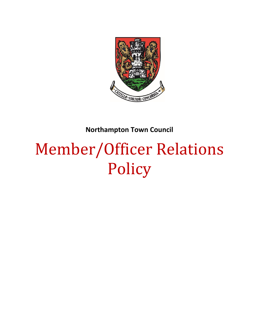

# **Northampton Town Council**

# Member/Officer Relations Policy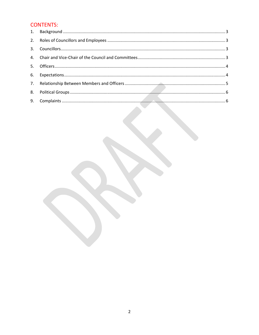# **CONTENTS:**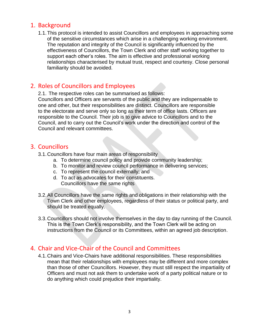#### <span id="page-2-0"></span>1. Background

1.1.This protocol is intended to assist Councillors and employees in approaching some of the sensitive circumstances which arise in a challenging working environment. The reputation and integrity of the Council is significantly influenced by the effectiveness of Councillors, the Town Clerk and other staff working together to support each other's roles. The aim is effective and professional working relationships characterised by mutual trust, respect and courtesy. Close personal familiarity should be avoided.

# <span id="page-2-1"></span>2. Roles of Councillors and Employees

2.1. The respective roles can be summarised as follows: Councillors and Officers are servants of the public and they are indispensable to one and other, but their responsibilities are distinct. Councillors are responsible to the electorate and serve only so long as their term of office lasts. Officers are responsible to the Council. Their job is to give advice to Councillors and to the Council, and to carry out the Council's work under the direction and control of the Council and relevant committees.

#### <span id="page-2-2"></span>3. Councillors

- 3.1.Councillors have four main areas of responsibility
	- a. To determine council policy and provide community leadership;
	- b. To monitor and review council performance in delivering services;
	- c. To represent the council externally; and
	- d. To act as advocates for their constituents. Councillors have the same rights
- 3.2.All Councillors have the same rights and obligations in their relationship with the Town Clerk and other employees, regardless of their status or political party, and should be treated equally.
- 3.3.Councillors should not involve themselves in the day to day running of the Council. This is the Town Clerk's responsibility, and the Town Clerk will be acting on instructions from the Council or its Committees, within an agreed job description.

### <span id="page-2-3"></span>4. Chair and Vice-Chair of the Council and Committees

4.1.Chairs and Vice-Chairs have additional responsibilities. These responsibilities mean that their relationships with employees may be different and more complex than those of other Councillors. However, they must still respect the impartiality of Officers and must not ask them to undertake work of a party political nature or to do anything which could prejudice their impartiality.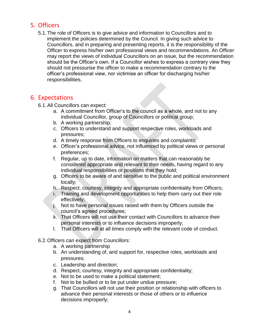#### <span id="page-3-0"></span>5. Officers

5.1.The role of Officers is to give advice and information to Councillors and to implement the policies determined by the Council. In giving such advice to Councillors, and in preparing and presenting reports, it is the responsibility of the Officer to express his/her own professional views and recommendations. An Officer may report the views of individual Councillors on an issue, but the recommendation should be the Officer's own. If a Councillor wishes to express a contrary view they should not pressurise the officer to make a recommendation contrary to the officer's professional view, nor victimise an officer for discharging his/her responsibilities.

#### <span id="page-3-1"></span>6. Expectations

- 6.1.All Councillors can expect:
	- a. A commitment from Officer's to the council as a whole, and not to any individual Councillor, group of Councillors or political group;
	- b. A working partnership;
	- c. Officers to understand and support respective roles, workloads and pressures;
	- d. A timely response from Officers to enquiries and complaints;
	- e. Officer's professional advice, not influenced by political views or personal preferences;
	- f. Regular, up to date, information on matters that can reasonably be considered appropriate and relevant to their needs, having regard to any individual responsibilities or positions that they hold;
	- g. Officers to be aware of and sensitive to the public and political environment locally;
	- h. Respect, courtesy, integrity and appropriate confidentiality from Officers;
	- i. Training and development opportunities to help them carry out their role effectively;
	- j. Not to have personal issues raised with them by Officers outside the council's agreed procedures;
	- k. That Officers will not use their contact with Councillors to advance their personal interests or to influence decisions improperly;
	- l. That Officers will at all times comply with the relevant code of conduct.
- 6.2.Officers can expect from Councillors:
	- a. A working partnership
	- b. An understanding of, and support for, respective roles, workloads and pressures;
	- c. Leadership and direction;
	- d. Respect, courtesy, integrity and appropriate confidentiality;
	- e. Not to be used to make a political statement;
	- f. Not to be bullied or to be put under undue pressure;
	- g. That Councillors will not use their position or relationship with officers to advance their personal interests or those of others or to influence decisions improperly;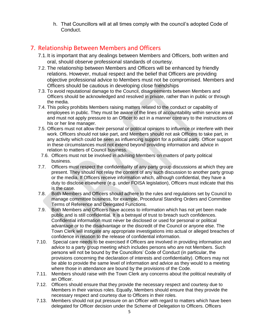h. That Councillors will at all times comply with the council's adopted Code of Conduct.

# <span id="page-4-0"></span>7. Relationship Between Members and Officers

- 7.1.It is important that any dealings between Members and Officers, both written and oral, should observe professional standards of courtesy.
- 7.2. The relationship between Members and Officers will be enhanced by friendly relations. However, mutual respect and the belief that Officers are providing objective professional advice to Members must not be compromised. Members and Officers should be cautious in developing close friendships
- 7.3. To avoid reputational damage to the Council, disagreements between Members and Officers should be acknowledged and resolved in private, rather than in public or through the media.
- 7.4. This policy prohibits Members raising matters related to the conduct or capability of employees in public. They must be aware of the lines of accountability within service areas and must not apply pressure to an Officer to act in a manner contrary to the instructions of his or her line manager.
- 7.5. Officers must not allow their personal or political opinions to influence or interfere with their work. Officers should not take part, and Members should not ask Officers to take part, in any activity which could be seen as influencing support for a political party. Officer support in these circumstances must not extend beyond providing information and advice in relation to matters of Council business.
- 7.6. Officers must not be involved in advising Members on matters of party political business.
- 7.7. Officers must respect the confidentiality of any party group discussions at which they are present. They should not relay the content of any such discussion to another party group or the media. If Officers receive information which, although confidential, they have a duty to disclose elsewhere (e.g. under FOISA legislation), Officers must indicate that this is the case.
- 7.8. Both Members and Officers should adhere to the rules and regulations set by Council to manage committee business, for example, Procedural Standing Orders and Committee Terms of Reference and Delegated Functions.
- 7.9. Both Members and Officers have access to information which has not yet been made public and is still confidential. It is a betrayal of trust to breach such confidences. Confidential information must never be disclosed or used for personal or political advantage or to the disadvantage or the discredit of the Council or anyone else. The Town Clerk will instigate any appropriate investigations into actual or alleged breaches of confidence in relation to the release of confidential information.
- 7.10. Special care needs to be exercised if Officers are involved in providing information and advice to a party group meeting which includes persons who are not Members. Such persons will not be bound by the Councillors' Code of Conduct (in particular, the provisions concerning the declaration of interests and confidentiality). Officers may not be able to provide the same level of information and advice as they would to a meeting where those in attendance are bound by the provisions of the Code.
- 7.11. Members should raise with the Town Clerk any concerns about the political neutrality of an Officer.
- 7.12. Officers should ensure that they provide the necessary respect and courtesy due to Members in their various roles. Equally, Members should ensure that they provide the necessary respect and courtesy due to Officers in their roles.
- 7.13. Members should not put pressure on an Officer with regard to matters which have been delegated for Officer decision under the Scheme of Delegation to Officers. Officers